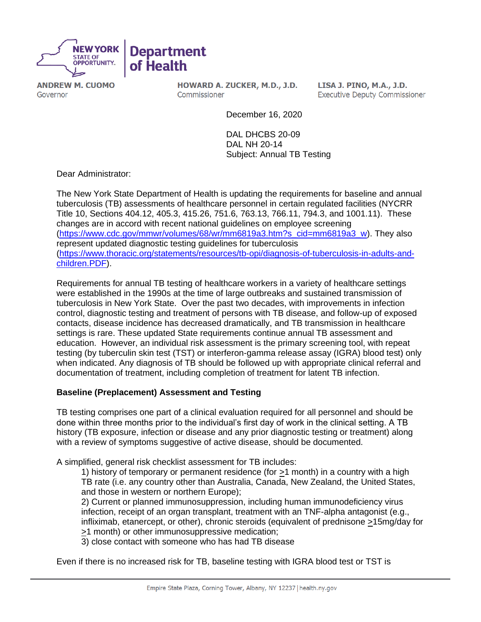

**ANDREW M. CUOMO** Governor

HOWARD A. ZUCKER, M.D., J.D. Commissioner

LISA J. PINO, M.A., J.D. **Executive Deputy Commissioner** 

December 16, 2020

DAL DHCBS 20-09 DAL NH 20-14 Subject: Annual TB Testing

Dear Administrator:

The New York State Department of Health is updating the requirements for baseline and annual tuberculosis (TB) assessments of healthcare personnel in certain regulated facilities (NYCRR Title 10, Sections 404.12, 405.3, 415.26, 751.6, 763.13, 766.11, 794.3, and 1001.11). These changes are in accord with recent national guidelines on employee screening [\(https://www.cdc.gov/mmwr/volumes/68/wr/mm6819a3.htm?s\\_cid=mm6819a3\\_w\)](https://www.cdc.gov/mmwr/volumes/68/wr/mm6819a3.htm?s_cid=mm6819a3_w). They also represent updated diagnostic testing guidelines for tuberculosis [\(https://www.thoracic.org/statements/resources/tb-opi/diagnosis-of-tuberculosis-in-adults-and](https://www.thoracic.org/statements/resources/tb-opi/diagnosis-of-tuberculosis-in-adults-and-children.PDF)[children.PDF\)](https://www.thoracic.org/statements/resources/tb-opi/diagnosis-of-tuberculosis-in-adults-and-children.PDF).

Requirements for annual TB testing of healthcare workers in a variety of healthcare settings were established in the 1990s at the time of large outbreaks and sustained transmission of tuberculosis in New York State. Over the past two decades, with improvements in infection control, diagnostic testing and treatment of persons with TB disease, and follow-up of exposed contacts, disease incidence has decreased dramatically, and TB transmission in healthcare settings is rare. These updated State requirements continue annual TB assessment and education. However, an individual risk assessment is the primary screening tool, with repeat testing (by tuberculin skin test (TST) or interferon-gamma release assay (IGRA) blood test) only when indicated. Any diagnosis of TB should be followed up with appropriate clinical referral and documentation of treatment, including completion of treatment for latent TB infection.

## **Baseline (Preplacement) Assessment and Testing**

TB testing comprises one part of a clinical evaluation required for all personnel and should be done within three months prior to the individual's first day of work in the clinical setting. A TB history (TB exposure, infection or disease and any prior diagnostic testing or treatment) along with a review of symptoms suggestive of active disease, should be documented.

A simplified, general risk checklist assessment for TB includes:

1) history of temporary or permanent residence (for >1 month) in a country with a high TB rate (i.e. any country other than Australia, Canada, New Zealand, the United States, and those in western or northern Europe);

2) Current or planned immunosuppression, including human immunodeficiency virus infection, receipt of an organ transplant, treatment with an TNF-alpha antagonist (e.g., infliximab, etanercept, or other), chronic steroids (equivalent of prednisone >15mg/day for >1 month) or other immunosuppressive medication;

3) close contact with someone who has had TB disease

Even if there is no increased risk for TB, baseline testing with IGRA blood test or TST is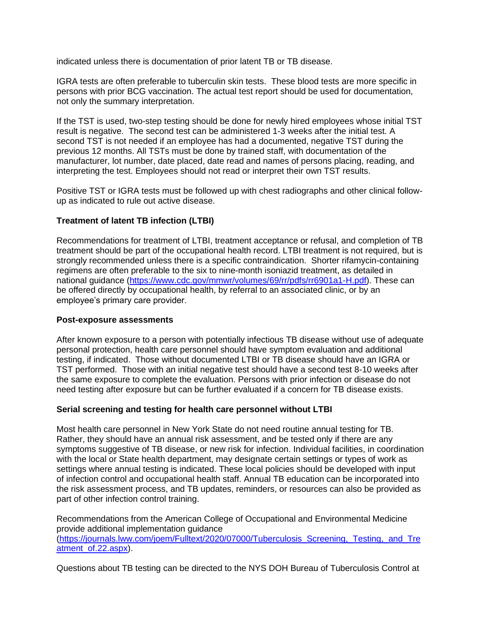indicated unless there is documentation of prior latent TB or TB disease.

IGRA tests are often preferable to tuberculin skin tests. These blood tests are more specific in persons with prior BCG vaccination. The actual test report should be used for documentation, not only the summary interpretation.

If the TST is used, two-step testing should be done for newly hired employees whose initial TST result is negative. The second test can be administered 1-3 weeks after the initial test. A second TST is not needed if an employee has had a documented, negative TST during the previous 12 months. All TSTs must be done by trained staff, with documentation of the manufacturer, lot number, date placed, date read and names of persons placing, reading, and interpreting the test. Employees should not read or interpret their own TST results.

Positive TST or IGRA tests must be followed up with chest radiographs and other clinical followup as indicated to rule out active disease.

## **Treatment of latent TB infection (LTBI)**

Recommendations for treatment of LTBI, treatment acceptance or refusal, and completion of TB treatment should be part of the occupational health record. LTBI treatment is not required, but is strongly recommended unless there is a specific contraindication. Shorter rifamycin-containing regimens are often preferable to the six to nine-month isoniazid treatment, as detailed in national guidance [\(https://www.cdc.gov/mmwr/volumes/69/rr/pdfs/rr6901a1-H.pdf\)](https://www.cdc.gov/mmwr/volumes/69/rr/pdfs/rr6901a1-H.pdf). These can be offered directly by occupational health, by referral to an associated clinic, or by an employee's primary care provider.

## **Post-exposure assessments**

After known exposure to a person with potentially infectious TB disease without use of adequate personal protection, health care personnel should have symptom evaluation and additional testing, if indicated. Those without documented LTBI or TB disease should have an IGRA or TST performed. Those with an initial negative test should have a second test 8-10 weeks after the same exposure to complete the evaluation. Persons with prior infection or disease do not need testing after exposure but can be further evaluated if a concern for TB disease exists.

## **Serial screening and testing for health care personnel without LTBI**

Most health care personnel in New York State do not need routine annual testing for TB. Rather, they should have an annual risk assessment, and be tested only if there are any symptoms suggestive of TB disease, or new risk for infection. Individual facilities, in coordination with the local or State health department, may designate certain settings or types of work as settings where annual testing is indicated. These local policies should be developed with input of infection control and occupational health staff. Annual TB education can be incorporated into the risk assessment process, and TB updates, reminders, or resources can also be provided as part of other infection control training.

Recommendations from the American College of Occupational and Environmental Medicine provide additional implementation guidance [\(https://journals.lww.com/joem/Fulltext/2020/07000/Tuberculosis\\_Screening,\\_Testing,\\_and\\_Tre](https://journals.lww.com/joem/Fulltext/2020/07000/Tuberculosis_Screening,_Testing,_and_Treatment_of.22.aspx) [atment\\_of.22.aspx\)](https://journals.lww.com/joem/Fulltext/2020/07000/Tuberculosis_Screening,_Testing,_and_Treatment_of.22.aspx).

Questions about TB testing can be directed to the NYS DOH Bureau of Tuberculosis Control at